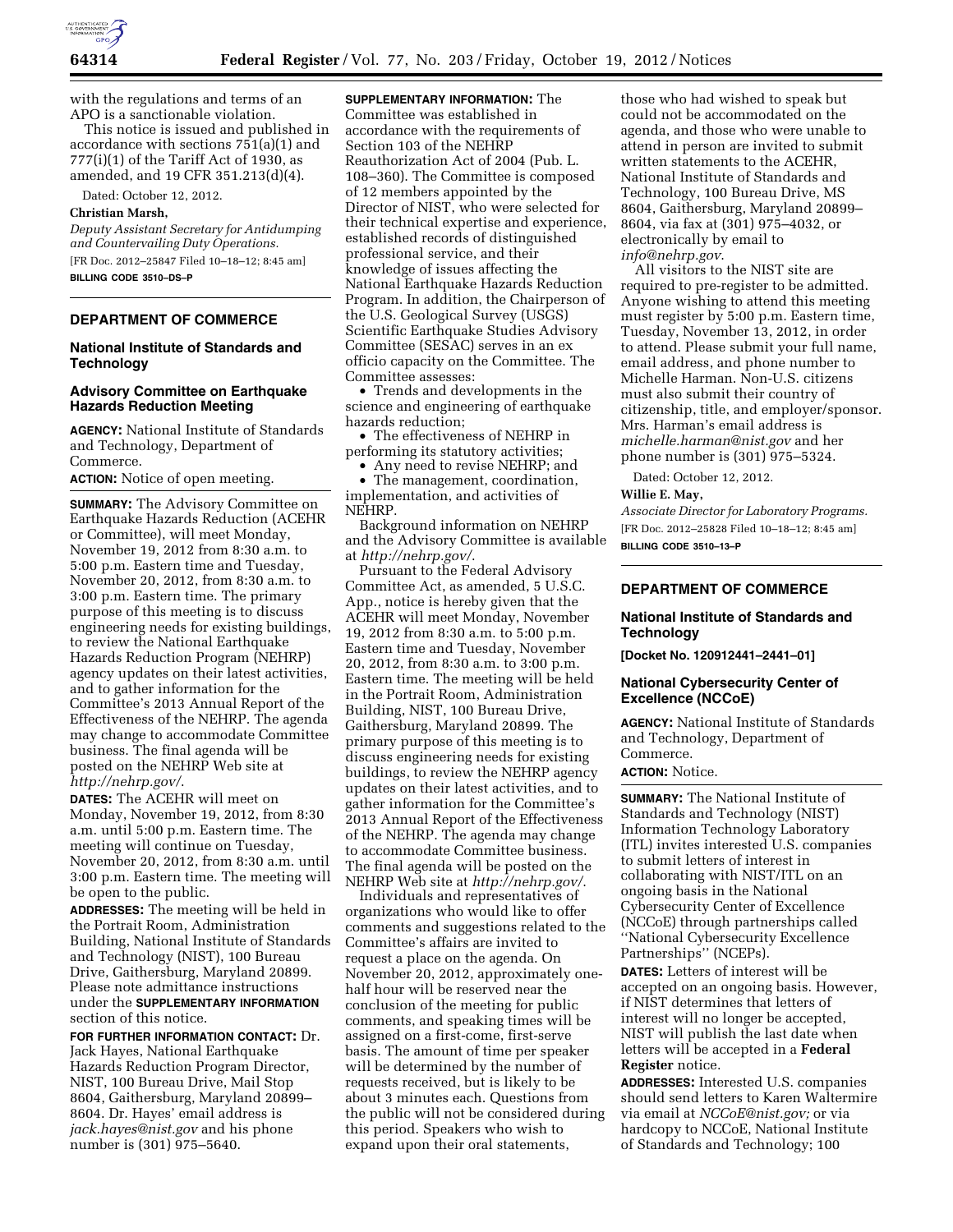

with the regulations and terms of an APO is a sanctionable violation.

This notice is issued and published in accordance with sections 751(a)(1) and  $777(i)(1)$  of the Tariff Act of 1930, as amended, and 19 CFR 351.213(d)(4).

Dated: October 12, 2012.

### **Christian Marsh,**

*Deputy Assistant Secretary for Antidumping and Countervailing Duty Operations.*  [FR Doc. 2012–25847 Filed 10–18–12; 8:45 am] **BILLING CODE 3510–DS–P** 

# **DEPARTMENT OF COMMERCE**

# **National Institute of Standards and Technology**

### **Advisory Committee on Earthquake Hazards Reduction Meeting**

**AGENCY:** National Institute of Standards and Technology, Department of Commerce.

**ACTION:** Notice of open meeting.

**SUMMARY:** The Advisory Committee on Earthquake Hazards Reduction (ACEHR or Committee), will meet Monday, November 19, 2012 from 8:30 a.m. to 5:00 p.m. Eastern time and Tuesday, November 20, 2012, from 8:30 a.m. to 3:00 p.m. Eastern time. The primary purpose of this meeting is to discuss engineering needs for existing buildings, to review the National Earthquake Hazards Reduction Program (NEHRP) agency updates on their latest activities, and to gather information for the Committee's 2013 Annual Report of the Effectiveness of the NEHRP. The agenda may change to accommodate Committee business. The final agenda will be posted on the NEHRP Web site at *<http://nehrp.gov/>*.

**DATES:** The ACEHR will meet on Monday, November 19, 2012, from 8:30 a.m. until 5:00 p.m. Eastern time. The meeting will continue on Tuesday, November 20, 2012, from 8:30 a.m. until 3:00 p.m. Eastern time. The meeting will be open to the public.

**ADDRESSES:** The meeting will be held in the Portrait Room, Administration Building, National Institute of Standards and Technology (NIST), 100 Bureau Drive, Gaithersburg, Maryland 20899. Please note admittance instructions under the **SUPPLEMENTARY INFORMATION** section of this notice.

**FOR FURTHER INFORMATION CONTACT:** Dr. Jack Hayes, National Earthquake Hazards Reduction Program Director, NIST, 100 Bureau Drive, Mail Stop 8604, Gaithersburg, Maryland 20899– 8604. Dr. Hayes' email address is *[jack.hayes@nist.gov](mailto:jack.hayes@nist.gov)* and his phone number is (301) 975–5640.

**SUPPLEMENTARY INFORMATION:** The Committee was established in accordance with the requirements of Section 103 of the NEHRP Reauthorization Act of 2004 (Pub. L. 108–360). The Committee is composed of 12 members appointed by the Director of NIST, who were selected for their technical expertise and experience, established records of distinguished professional service, and their knowledge of issues affecting the National Earthquake Hazards Reduction Program. In addition, the Chairperson of the U.S. Geological Survey (USGS) Scientific Earthquake Studies Advisory Committee (SESAC) serves in an ex officio capacity on the Committee. The Committee assesses:

• Trends and developments in the science and engineering of earthquake hazards reduction;

• The effectiveness of NEHRP in performing its statutory activities;

• Any need to revise NEHRP; and

• The management, coordination, implementation, and activities of NEHRP.

Background information on NEHRP and the Advisory Committee is available at *<http://nehrp.gov/>*.

Pursuant to the Federal Advisory Committee Act, as amended, 5 U.S.C. App., notice is hereby given that the ACEHR will meet Monday, November 19, 2012 from 8:30 a.m. to 5:00 p.m. Eastern time and Tuesday, November 20, 2012, from 8:30 a.m. to 3:00 p.m. Eastern time. The meeting will be held in the Portrait Room, Administration Building, NIST, 100 Bureau Drive, Gaithersburg, Maryland 20899. The primary purpose of this meeting is to discuss engineering needs for existing buildings, to review the NEHRP agency updates on their latest activities, and to gather information for the Committee's 2013 Annual Report of the Effectiveness of the NEHRP. The agenda may change to accommodate Committee business. The final agenda will be posted on the NEHRP Web site at *<http://nehrp.gov/>*.

Individuals and representatives of organizations who would like to offer comments and suggestions related to the Committee's affairs are invited to request a place on the agenda. On November 20, 2012, approximately onehalf hour will be reserved near the conclusion of the meeting for public comments, and speaking times will be assigned on a first-come, first-serve basis. The amount of time per speaker will be determined by the number of requests received, but is likely to be about 3 minutes each. Questions from the public will not be considered during this period. Speakers who wish to expand upon their oral statements,

those who had wished to speak but could not be accommodated on the agenda, and those who were unable to attend in person are invited to submit written statements to the ACEHR, National Institute of Standards and Technology, 100 Bureau Drive, MS 8604, Gaithersburg, Maryland 20899– 8604, via fax at (301) 975–4032, or electronically by email to *[info@nehrp.gov](mailto:info@nehrp.gov)*.

All visitors to the NIST site are required to pre-register to be admitted. Anyone wishing to attend this meeting must register by 5:00 p.m. Eastern time, Tuesday, November 13, 2012, in order to attend. Please submit your full name, email address, and phone number to Michelle Harman. Non-U.S. citizens must also submit their country of citizenship, title, and employer/sponsor. Mrs. Harman's email address is *[michelle.harman@nist.gov](mailto:michelle.harman@nist.gov)* and her phone number is (301) 975–5324.

Dated: October 12, 2012.

# **Willie E. May,**

*Associate Director for Laboratory Programs.*  [FR Doc. 2012–25828 Filed 10–18–12; 8:45 am] **BILLING CODE 3510–13–P** 

### **DEPARTMENT OF COMMERCE**

### **National Institute of Standards and Technology**

**[Docket No. 120912441–2441–01]** 

#### **National Cybersecurity Center of Excellence (NCCoE)**

**AGENCY:** National Institute of Standards and Technology, Department of Commerce.

# **ACTION:** Notice.

**SUMMARY:** The National Institute of Standards and Technology (NIST) Information Technology Laboratory (ITL) invites interested U.S. companies to submit letters of interest in collaborating with NIST/ITL on an ongoing basis in the National Cybersecurity Center of Excellence (NCCoE) through partnerships called ''National Cybersecurity Excellence Partnerships'' (NCEPs).

**DATES:** Letters of interest will be accepted on an ongoing basis. However, if NIST determines that letters of interest will no longer be accepted, NIST will publish the last date when letters will be accepted in a **Federal Register** notice.

**ADDRESSES:** Interested U.S. companies should send letters to Karen Waltermire via email at *[NCCoE@nist.gov;](mailto:NCCoE@nist.gov)* or via hardcopy to NCCoE, National Institute of Standards and Technology; 100